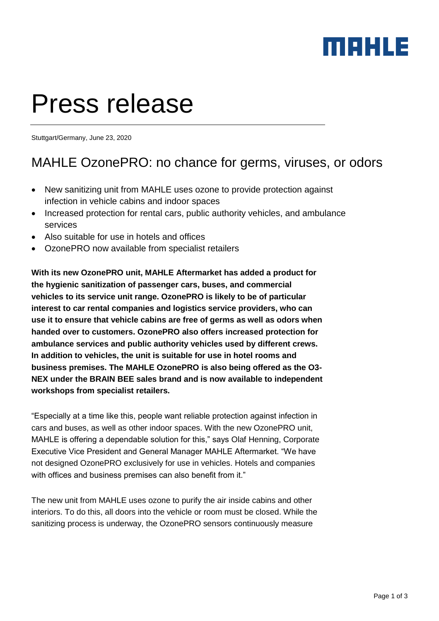

# Press release

Stuttgart/Germany, June 23, 2020

### MAHLE OzonePRO: no chance for germs, viruses, or odors

- New sanitizing unit from MAHLE uses ozone to provide protection against infection in vehicle cabins and indoor spaces
- Increased protection for rental cars, public authority vehicles, and ambulance services
- Also suitable for use in hotels and offices
- OzonePRO now available from specialist retailers

**With its new OzonePRO unit, MAHLE Aftermarket has added a product for the hygienic sanitization of passenger cars, buses, and commercial vehicles to its service unit range. OzonePRO is likely to be of particular interest to car rental companies and logistics service providers, who can use it to ensure that vehicle cabins are free of germs as well as odors when handed over to customers. OzonePRO also offers increased protection for ambulance services and public authority vehicles used by different crews. In addition to vehicles, the unit is suitable for use in hotel rooms and business premises. The MAHLE OzonePRO is also being offered as the O3- NEX under the BRAIN BEE sales brand and is now available to independent workshops from specialist retailers.**

"Especially at a time like this, people want reliable protection against infection in cars and buses, as well as other indoor spaces. With the new OzonePRO unit, MAHLE is offering a dependable solution for this," says Olaf Henning, Corporate Executive Vice President and General Manager MAHLE Aftermarket. "We have not designed OzonePRO exclusively for use in vehicles. Hotels and companies with offices and business premises can also benefit from it."

The new unit from MAHLE uses ozone to purify the air inside cabins and other interiors. To do this, all doors into the vehicle or room must be closed. While the sanitizing process is underway, the OzonePRO sensors continuously measure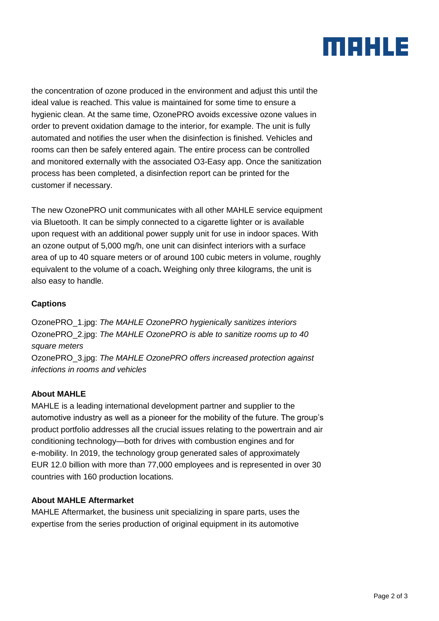## MAHLE

the concentration of ozone produced in the environment and adjust this until the ideal value is reached. This value is maintained for some time to ensure a hygienic clean. At the same time, OzonePRO avoids excessive ozone values in order to prevent oxidation damage to the interior, for example. The unit is fully automated and notifies the user when the disinfection is finished. Vehicles and rooms can then be safely entered again. The entire process can be controlled and monitored externally with the associated O3-Easy app. Once the sanitization process has been completed, a disinfection report can be printed for the customer if necessary.

The new OzonePRO unit communicates with all other MAHLE service equipment via Bluetooth. It can be simply connected to a cigarette lighter or is available upon request with an additional power supply unit for use in indoor spaces. With an ozone output of 5,000 mg/h, one unit can disinfect interiors with a surface area of up to 40 square meters or of around 100 cubic meters in volume, roughly equivalent to the volume of a coach**.** Weighing only three kilograms, the unit is also easy to handle.

#### **Captions**

OzonePRO\_1.jpg: *The MAHLE OzonePRO hygienically sanitizes interiors* OzonePRO\_2.jpg: *The MAHLE OzonePRO is able to sanitize rooms up to 40 square meters* OzonePRO\_3.jpg: *The MAHLE OzonePRO offers increased protection against infections in rooms and vehicles*

#### **About MAHLE**

MAHLE is a leading international development partner and supplier to the automotive industry as well as a pioneer for the mobility of the future. The group's product portfolio addresses all the crucial issues relating to the powertrain and air conditioning technology—both for drives with combustion engines and for e-mobility. In 2019, the technology group generated sales of approximately EUR 12.0 billion with more than 77,000 employees and is represented in over 30 countries with 160 production locations.

#### **About MAHLE Aftermarket**

MAHLE Aftermarket, the business unit specializing in spare parts, uses the expertise from the series production of original equipment in its automotive